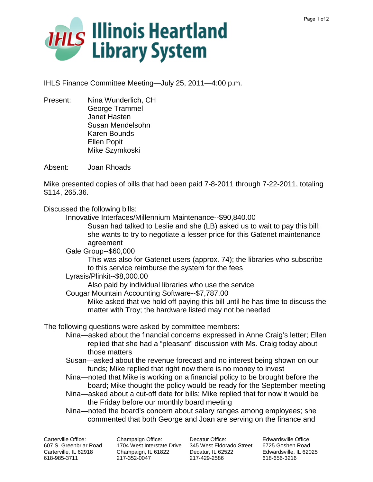

IHLS Finance Committee Meeting—July 25, 2011—4:00 p.m.

Present: Nina Wunderlich, CH George Trammel Janet Hasten Susan Mendelsohn Karen Bounds Ellen Popit Mike Szymkoski

Absent: Joan Rhoads

Mike presented copies of bills that had been paid 7-8-2011 through 7-22-2011, totaling \$114, 265.36.

Discussed the following bills:

Innovative Interfaces/Millennium Maintenance--\$90,840.00

Susan had talked to Leslie and she (LB) asked us to wait to pay this bill; she wants to try to negotiate a lesser price for this Gatenet maintenance agreement

Gale Group--\$60,000

This was also for Gatenet users (approx. 74); the libraries who subscribe to this service reimburse the system for the fees

Lyrasis/Plinkit--\$8,000.00

Also paid by individual libraries who use the service

Cougar Mountain Accounting Software--\$7,787.00

Mike asked that we hold off paying this bill until he has time to discuss the matter with Troy; the hardware listed may not be needed

The following questions were asked by committee members:

- Nina—asked about the financial concerns expressed in Anne Craig's letter; Ellen replied that she had a "pleasant" discussion with Ms. Craig today about those matters
- Susan—asked about the revenue forecast and no interest being shown on our funds; Mike replied that right now there is no money to invest
- Nina—noted that Mike is working on a financial policy to be brought before the board; Mike thought the policy would be ready for the September meeting
- Nina—asked about a cut-off date for bills; Mike replied that for now it would be the Friday before our monthly board meeting
- Nina—noted the board's concern about salary ranges among employees; she commented that both George and Joan are serving on the finance and

Carterville Office: 607 S. Greenbriar Road Carterville, IL 62918 618-985-3711

Champaign Office: 1704 West Interstate Drive 345 West Eldorado Street 6725 Goshen Road Champaign, IL 61822 217-352-0047

Decatur Office: Decatur, IL 62522 217-429-2586

Edwardsville Office: Edwardsville, IL 62025 618-656-3216